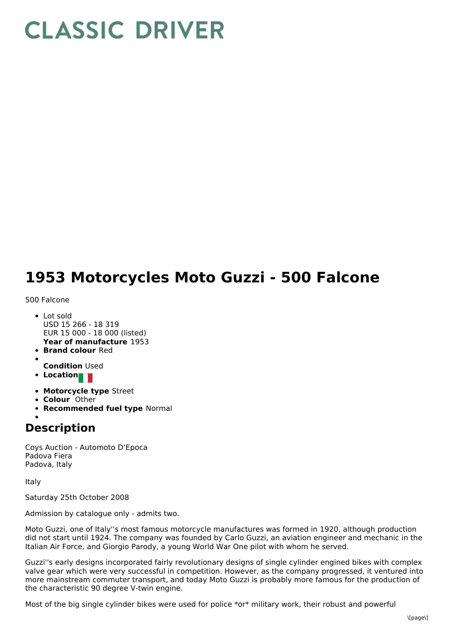## **CLASSIC DRIVER**

## **1953 Motorcycles Moto Guzzi - 500 Falcone**

500 Falcone

- **Year of manufacture** 1953 Lot sold USD 15 266 - 18 319 EUR 15 000 - 18 000 (listed)
- **Brand colour** Red
- **Condition** Used
- **Location**
- **Motorcycle type** Street
- **Colour** Other
- **Recommended fuel type** Normal

## **Description**

Coys Auction - Automoto D'Epoca Padova Fiera Padova, Italy

Italy

Saturday 25th October 2008

Admission by catalogue only - admits two.

Moto Guzzi, one of Italy''s most famous motorcycle manufactures was formed in 1920, although production did not start until 1924. The company was founded by Carlo Guzzi, an aviation engineer and mechanic in the Italian Air Force, and Giorgio Parody, a young World War One pilot with whom he served.

Guzzi''s early designs incorporated fairly revolutionary designs of single cylinder engined bikes with complex valve gear which were very successful in competition. However, as the company progressed, it ventured into more mainstream commuter transport, and today Moto Guzzi is probably more famous for the production of the characteristic 90 degree V-twin engine.

Most of the big single cylinder bikes were used for police \*or\* military work, their robust and powerful